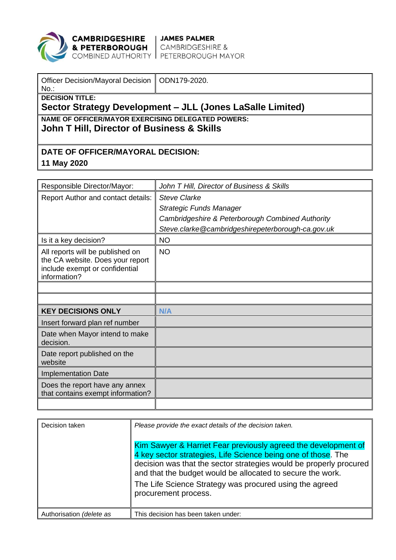

**CAMBRIDGESHIRE | JAMES PALMER<br>& PETERBOROUGH |** CAMBRIDGESHIRE &<br>COMBINED AUTHORITY | PETERBOROUGH MAYOR

| Officer Decision/Mayoral Decision   ODN179-2020.<br>$No.$ : |  |  |  |  |
|-------------------------------------------------------------|--|--|--|--|
| <b>DECISION TITLE:</b>                                      |  |  |  |  |
| Sector Strategy Development - JLL (Jones LaSalle Limited)   |  |  |  |  |
| NAME OF OFFICER/MAYOR EXERCISING DELEGATED POWERS:          |  |  |  |  |
| John T Hill, Director of Business & Skills                  |  |  |  |  |
|                                                             |  |  |  |  |
|                                                             |  |  |  |  |
| DATE OF OFFICER/MAYORAL DECISION:                           |  |  |  |  |

**11 May 2020**

| Responsible Director/Mayor:                                                                                            | John T Hill, Director of Business & Skills        |
|------------------------------------------------------------------------------------------------------------------------|---------------------------------------------------|
| Report Author and contact details:                                                                                     | <b>Steve Clarke</b>                               |
|                                                                                                                        | <b>Strategic Funds Manager</b>                    |
|                                                                                                                        | Cambridgeshire & Peterborough Combined Authority  |
|                                                                                                                        | Steve.clarke@cambridgeshirepeterborough-ca.gov.uk |
| Is it a key decision?                                                                                                  | <b>NO</b>                                         |
| All reports will be published on<br>the CA website. Does your report<br>include exempt or confidential<br>information? | <b>NO</b>                                         |
|                                                                                                                        |                                                   |
|                                                                                                                        |                                                   |
| <b>KEY DECISIONS ONLY</b>                                                                                              | N/A                                               |
| Insert forward plan ref number                                                                                         |                                                   |
| Date when Mayor intend to make<br>decision.                                                                            |                                                   |
| Date report published on the<br>website                                                                                |                                                   |
| <b>Implementation Date</b>                                                                                             |                                                   |
|                                                                                                                        |                                                   |
| Does the report have any annex<br>that contains exempt information?                                                    |                                                   |

| Decision taken           | Please provide the exact details of the decision taken.<br>Kim Sawyer & Harriet Fear previously agreed the development of<br>4 key sector strategies, Life Science being one of those. The<br>decision was that the sector strategies would be properly procured<br>and that the budget would be allocated to secure the work.<br>The Life Science Strategy was procured using the agreed<br>procurement process. |
|--------------------------|-------------------------------------------------------------------------------------------------------------------------------------------------------------------------------------------------------------------------------------------------------------------------------------------------------------------------------------------------------------------------------------------------------------------|
| Authorisation (delete as | This decision has been taken under:                                                                                                                                                                                                                                                                                                                                                                               |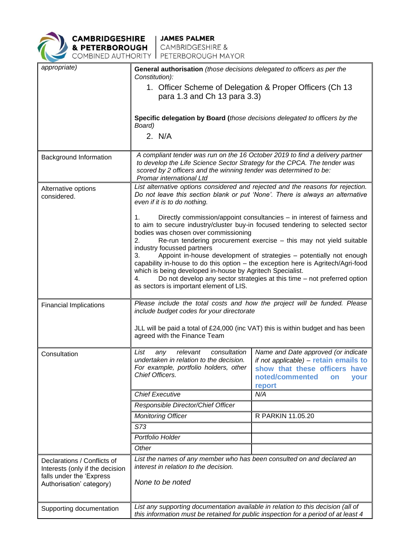

**CAMBRIDGESHIRE** JAMES PALMER<br> **& PETERBOROUGH** CAMBRIDGESHIRE &<br>
COMBINED AUTHORITY PETERBOROUGH MAYOR

| appropriate)                                                                               | General authorisation (those decisions delegated to officers as per the<br>Constitution):                                                                                                                                                                                                                                                                                                                                                                                                                                                                                                                                                                                              |                                                                                                                                                                    |  |
|--------------------------------------------------------------------------------------------|----------------------------------------------------------------------------------------------------------------------------------------------------------------------------------------------------------------------------------------------------------------------------------------------------------------------------------------------------------------------------------------------------------------------------------------------------------------------------------------------------------------------------------------------------------------------------------------------------------------------------------------------------------------------------------------|--------------------------------------------------------------------------------------------------------------------------------------------------------------------|--|
|                                                                                            |                                                                                                                                                                                                                                                                                                                                                                                                                                                                                                                                                                                                                                                                                        |                                                                                                                                                                    |  |
|                                                                                            | 1. Officer Scheme of Delegation & Proper Officers (Ch 13<br>para 1.3 and Ch 13 para 3.3)                                                                                                                                                                                                                                                                                                                                                                                                                                                                                                                                                                                               |                                                                                                                                                                    |  |
|                                                                                            | Specific delegation by Board (those decisions delegated to officers by the<br>Board)                                                                                                                                                                                                                                                                                                                                                                                                                                                                                                                                                                                                   |                                                                                                                                                                    |  |
|                                                                                            | 2. N/A                                                                                                                                                                                                                                                                                                                                                                                                                                                                                                                                                                                                                                                                                 |                                                                                                                                                                    |  |
| Background Information                                                                     | A compliant tender was run on the 16 October 2019 to find a delivery partner                                                                                                                                                                                                                                                                                                                                                                                                                                                                                                                                                                                                           |                                                                                                                                                                    |  |
|                                                                                            | to develop the Life Science Sector Strategy for the CPCA. The tender was<br>scored by 2 officers and the winning tender was determined to be:<br>Promar international Ltd                                                                                                                                                                                                                                                                                                                                                                                                                                                                                                              |                                                                                                                                                                    |  |
| Alternative options<br>considered.                                                         | List alternative options considered and rejected and the reasons for rejection.<br>Do not leave this section blank or put 'None'. There is always an alternative<br>even if it is to do nothing.<br>Directly commission/appoint consultancies – in interest of fairness and<br>1.<br>to aim to secure industry/cluster buy-in focused tendering to selected sector<br>bodies was chosen over commissioning<br>Re-run tendering procurement exercise - this may not yield suitable<br>2.<br>industry focussed partners<br>Appoint in-house development of strategies - potentially not enough<br>3.<br>capability in-house to do this option - the exception here is Agritech/Agri-food |                                                                                                                                                                    |  |
|                                                                                            |                                                                                                                                                                                                                                                                                                                                                                                                                                                                                                                                                                                                                                                                                        |                                                                                                                                                                    |  |
|                                                                                            |                                                                                                                                                                                                                                                                                                                                                                                                                                                                                                                                                                                                                                                                                        |                                                                                                                                                                    |  |
|                                                                                            |                                                                                                                                                                                                                                                                                                                                                                                                                                                                                                                                                                                                                                                                                        |                                                                                                                                                                    |  |
|                                                                                            | which is being developed in-house by Agritech Specialist.<br>4.                                                                                                                                                                                                                                                                                                                                                                                                                                                                                                                                                                                                                        | Do not develop any sector strategies at this time - not preferred option                                                                                           |  |
|                                                                                            | as sectors is important element of LIS.                                                                                                                                                                                                                                                                                                                                                                                                                                                                                                                                                                                                                                                |                                                                                                                                                                    |  |
| <b>Financial Implications</b>                                                              | Please include the total costs and how the project will be funded. Please<br>include budget codes for your directorate                                                                                                                                                                                                                                                                                                                                                                                                                                                                                                                                                                 |                                                                                                                                                                    |  |
|                                                                                            | JLL will be paid a total of £24,000 (inc VAT) this is within budget and has been<br>agreed with the Finance Team                                                                                                                                                                                                                                                                                                                                                                                                                                                                                                                                                                       |                                                                                                                                                                    |  |
| Consultation                                                                               | consultation<br>List<br>relevant<br>any<br>undertaken in relation to the decision.<br>For example, portfolio holders, other<br>Chief Officers.                                                                                                                                                                                                                                                                                                                                                                                                                                                                                                                                         | Name and Date approved (or indicate<br>if not applicable) - retain emails to<br>show that these officers<br>have<br>noted/commented<br>your<br><b>on</b><br>report |  |
|                                                                                            | <b>Chief Executive</b>                                                                                                                                                                                                                                                                                                                                                                                                                                                                                                                                                                                                                                                                 | N/A                                                                                                                                                                |  |
|                                                                                            | Responsible Director/Chief Officer                                                                                                                                                                                                                                                                                                                                                                                                                                                                                                                                                                                                                                                     |                                                                                                                                                                    |  |
|                                                                                            | <b>Monitoring Officer</b>                                                                                                                                                                                                                                                                                                                                                                                                                                                                                                                                                                                                                                                              | R PARKIN 11.05.20                                                                                                                                                  |  |
|                                                                                            | S73                                                                                                                                                                                                                                                                                                                                                                                                                                                                                                                                                                                                                                                                                    |                                                                                                                                                                    |  |
|                                                                                            | Portfolio Holder                                                                                                                                                                                                                                                                                                                                                                                                                                                                                                                                                                                                                                                                       |                                                                                                                                                                    |  |
|                                                                                            | Other                                                                                                                                                                                                                                                                                                                                                                                                                                                                                                                                                                                                                                                                                  |                                                                                                                                                                    |  |
| Declarations / Conflicts of<br>Interests (only if the decision<br>falls under the 'Express | List the names of any member who has been consulted on and declared an<br>interest in relation to the decision.                                                                                                                                                                                                                                                                                                                                                                                                                                                                                                                                                                        |                                                                                                                                                                    |  |
| Authorisation' category)                                                                   | None to be noted                                                                                                                                                                                                                                                                                                                                                                                                                                                                                                                                                                                                                                                                       |                                                                                                                                                                    |  |
| Supporting documentation                                                                   | List any supporting documentation available in relation to this decision (all of<br>this information must be retained for public inspection for a period of at least 4                                                                                                                                                                                                                                                                                                                                                                                                                                                                                                                 |                                                                                                                                                                    |  |